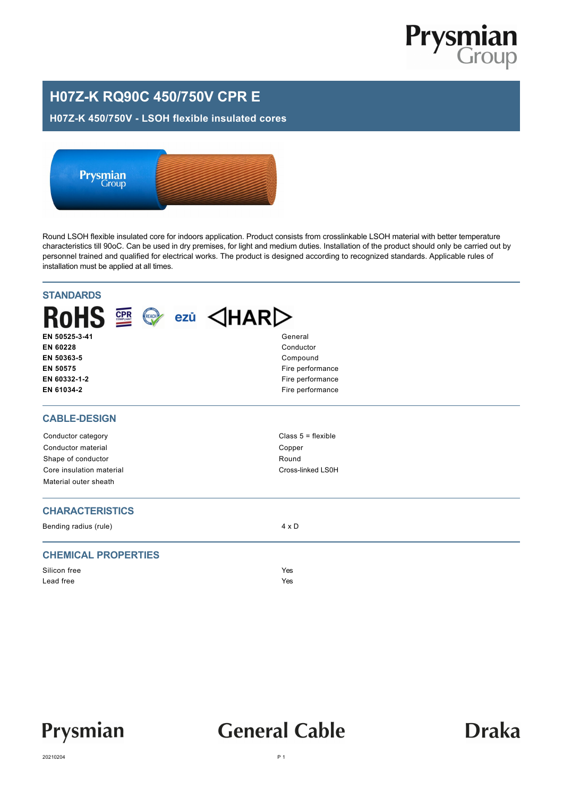

### **H07Z-K RQ90C 450/750V CPR E**

#### **H07Z-K 450/750V - LSOH flexible insulated cores**



Round LSOH flexible insulated core for indoors application. Product consists from crosslinkable LSOH material with better temperature characteristics till 90oC. Can be used in dry premises, for light and medium duties. Installation of the product should only be carried out by personnel trained and qualified for electrical works. The product is designed according to recognized standards. Applicable rules of installation must be applied at all times.

| <b>STANDARDS</b>                          |                                  |
|-------------------------------------------|----------------------------------|
| <b>RoHS</b><br><b>CPR</b><br>REACH<br>ezū | $\triangle$ HAR $\triangleright$ |
| EN 50525-3-41                             | General                          |
| EN 60228                                  | Conductor                        |
| EN 50363-5                                | Compound                         |
| EN 50575                                  | Fire performance                 |
| EN 60332-1-2                              | Fire performance                 |
| EN 61034-2                                | Fire performance                 |
| <b>CABLE-DESIGN</b>                       |                                  |
| Conductor category                        | Class $5 =$ flexible             |
| Conductor material                        | Copper                           |
| Shape of conductor                        | Round                            |
| Core insulation material                  | Cross-linked LS0H                |
| Material outer sheath                     |                                  |
| <b>CHARACTERISTICS</b>                    |                                  |
| Bending radius (rule)                     | $4 \times D$                     |
| <b>CHEMICAL PROPERTIES</b>                |                                  |
| Silicon free                              | Yes                              |
| Lead free                                 | Yes                              |
|                                           |                                  |



## **General Cable**